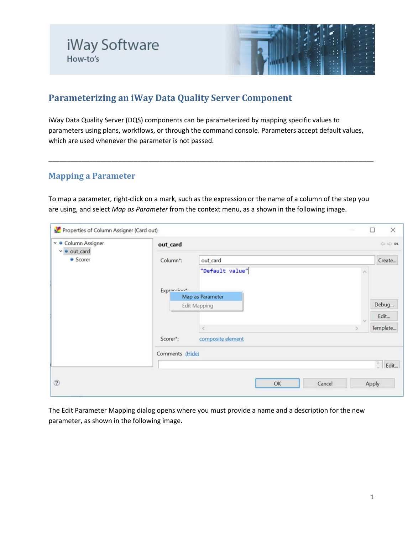

# **Parameterizing an iWay Data Quality Server Component**

iWay Data Quality Server (DQS) components can be parameterized by mapping specific values to parameters using plans, workflows, or through the command console. Parameters accept default values, which are used whenever the parameter is not passed.

# **Mapping a Parameter**

To map a parameter, right-click on a mark, such as the expression or the name of a column of the step you are using, and select *Map as Parameter* from the context menu, as a shown in the following image.

\_\_\_\_\_\_\_\_\_\_\_\_\_\_\_\_\_\_\_\_\_\_\_\_\_\_\_\_\_\_\_\_\_\_\_\_\_\_\_\_\_\_\_\_\_\_\_\_\_\_\_\_\_\_\_\_\_\_\_\_\_\_\_\_\_\_\_\_\_\_\_\_\_\_\_\_\_\_\_\_\_\_\_\_\_\_\_\_

| ∨ ● Column Assigner<br>$\bullet$ out_card<br>v<br>• Scorer | out_card             |                     |    | COM                   |
|------------------------------------------------------------|----------------------|---------------------|----|-----------------------|
|                                                            | Column*:<br>out card |                     |    | Create                |
|                                                            |                      | "Default value"     | ×  |                       |
|                                                            | Exprecian*           |                     |    |                       |
|                                                            |                      | Map as Parameter    |    |                       |
|                                                            |                      | <b>Edit Mapping</b> |    | Debug                 |
|                                                            |                      |                     | N  | Edit                  |
|                                                            |                      | $\,<$               | S. | Template              |
|                                                            | Scorer*:             | composite element   |    |                       |
|                                                            | Comments (Hide)      |                     |    |                       |
|                                                            |                      |                     |    | $\hat{\cdot}$<br>Edit |
| $\circledcirc$                                             |                      | OK<br>Cancel        |    | Apply                 |

The Edit Parameter Mapping dialog opens where you must provide a name and a description for the new parameter, as shown in the following image.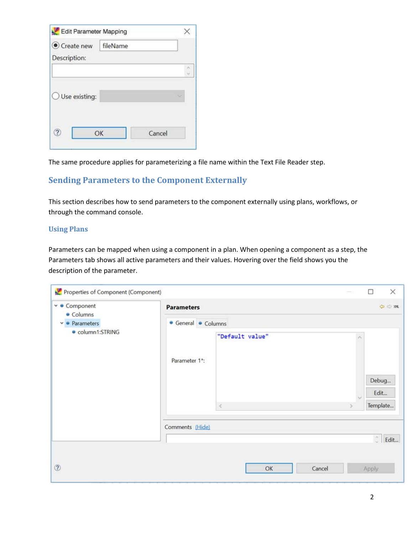| Create new              | fileName |        |        |
|-------------------------|----------|--------|--------|
| Description:            |          |        |        |
|                         |          |        | $\sim$ |
| $\bigcup$ Use existing: |          |        |        |
|                         | OK       | Cancel |        |

The same procedure applies for parameterizing a file name within the Text File Reader step.

## **Sending Parameters to the Component Externally**

This section describes how to send parameters to the component externally using plans, workflows, or through the command console.

#### **Using Plans**

Parameters can be mapped when using a component in a plan. When opening a component as a step, the Parameters tab shows all active parameters and their values. Hovering over the field shows you the description of the parameter.

| Properties of Component (Component)             |                     |                      | $\rightarrow$ | $\times$<br>□             |  |
|-------------------------------------------------|---------------------|----------------------|---------------|---------------------------|--|
| ∨ ● Component<br>· Columns                      | <b>Parameters</b>   |                      |               | C OM                      |  |
| $\vee$ $\bullet$ Parameters<br>· column1:STRING | • General • Columns |                      |               |                           |  |
|                                                 | Parameter 1*:       | "Default value"<br>K |               | Debug<br>Edit<br>Template |  |
|                                                 | Comments (Hide)     |                      |               |                           |  |
|                                                 |                     |                      |               | $\hat{\cdot}$<br>Edit     |  |
|                                                 |                     |                      |               |                           |  |
| $^{\circ}$                                      |                     | OK                   | Cancel        | Apply                     |  |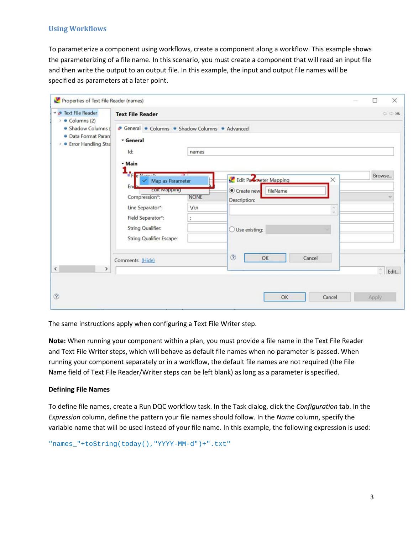### **Using Workflows**

To parameterize a component using workflows, create a component along a workflow. This example shows the parameterizing of a file name. In this scenario, you must create a component that will read an input file and then write the output to an output file. In this example, the input and output file names will be specified as parameters at a later point.

| Text File Reader                                                                              | <b>Text File Reader</b>                                                          |             |                                                             | OBM                   |
|-----------------------------------------------------------------------------------------------|----------------------------------------------------------------------------------|-------------|-------------------------------------------------------------|-----------------------|
| $\bullet$ Columns (2)<br>· Shadow Columns (<br>· Data Format Paran<br>> • Error Handling Stra | General Columns Chadow Columns CAdvanced<br>General<br>Id:                       | names       |                                                             |                       |
|                                                                                               | - Main<br><b>BF</b> p Mamazi<br>Map as Parameter<br>End<br><b>EQITE WEIGHTON</b> | <b>PA 1</b> | Edit Parmeter Mapping<br>$\times$<br>fileName<br>Create new | Browse                |
|                                                                                               | Compression*:                                                                    | <b>NONE</b> | Description:                                                |                       |
|                                                                                               | Line Separator*:                                                                 | $\ln$       | $\alpha$<br>V.                                              |                       |
|                                                                                               | Field Separator*:                                                                | ÷           |                                                             |                       |
|                                                                                               | <b>String Qualifier:</b><br><b>String Qualifier Escape:</b>                      |             | ○ Use existing:                                             |                       |
|                                                                                               | Comments (Hide)                                                                  |             | $\circledR$<br>Cancel<br>OK                                 |                       |
| $\checkmark$<br>>                                                                             |                                                                                  |             |                                                             | $\hat{\cdot}$<br>Edit |

The same instructions apply when configuring a Text File Writer step.

**Note:** When running your component within a plan, you must provide a file name in the Text File Reader and Text File Writer steps, which will behave as default file names when no parameter is passed. When running your component separately or in a workflow, the default file names are not required (the File Name field of Text File Reader/Writer steps can be left blank) as long as a parameter is specified.

#### **Defining File Names**

To define file names, create a Run DQC workflow task. In the Task dialog, click the *Configuration* tab. In the *Expression* column, define the pattern your file names should follow. In the *Name* column, specify the variable name that will be used instead of your file name. In this example, the following expression is used:

"names\_"+toString(today(),"YYYY-MM-d")+".txt"